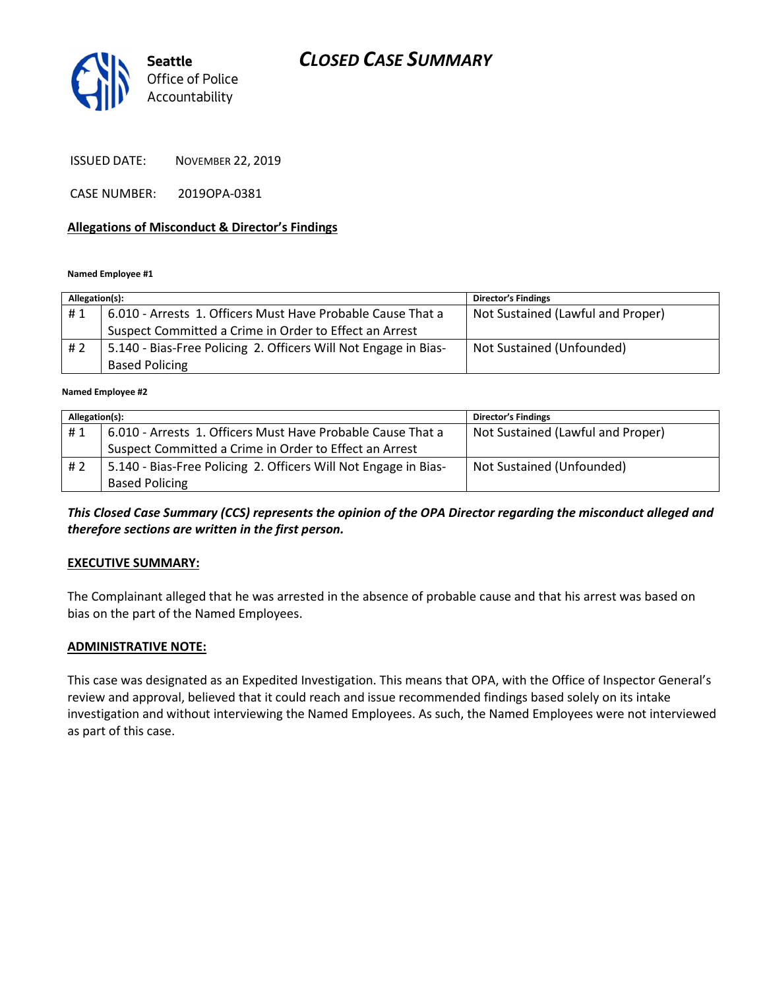# CLOSED CASE SUMMARY



ISSUED DATE: NOVEMBER 22, 2019

CASE NUMBER: 2019OPA-0381

## Allegations of Misconduct & Director's Findings

Named Employee #1

| Allegation(s): |                                                                 | <b>Director's Findings</b>        |
|----------------|-----------------------------------------------------------------|-----------------------------------|
| #1             | 6.010 - Arrests 1. Officers Must Have Probable Cause That a     | Not Sustained (Lawful and Proper) |
|                | Suspect Committed a Crime in Order to Effect an Arrest          |                                   |
| #2             | 5.140 - Bias-Free Policing 2. Officers Will Not Engage in Bias- | Not Sustained (Unfounded)         |
|                | <b>Based Policing</b>                                           |                                   |
|                |                                                                 |                                   |

Named Employee #2

| Allegation(s): |                                                                 | <b>Director's Findings</b>        |
|----------------|-----------------------------------------------------------------|-----------------------------------|
| #1             | 6.010 - Arrests 1. Officers Must Have Probable Cause That a     | Not Sustained (Lawful and Proper) |
|                | Suspect Committed a Crime in Order to Effect an Arrest          |                                   |
| #2             | 5.140 - Bias-Free Policing 2. Officers Will Not Engage in Bias- | Not Sustained (Unfounded)         |
|                | <b>Based Policing</b>                                           |                                   |

This Closed Case Summary (CCS) represents the opinion of the OPA Director regarding the misconduct alleged and therefore sections are written in the first person.

## EXECUTIVE SUMMARY:

The Complainant alleged that he was arrested in the absence of probable cause and that his arrest was based on bias on the part of the Named Employees.

### ADMINISTRATIVE NOTE:

This case was designated as an Expedited Investigation. This means that OPA, with the Office of Inspector General's review and approval, believed that it could reach and issue recommended findings based solely on its intake investigation and without interviewing the Named Employees. As such, the Named Employees were not interviewed as part of this case.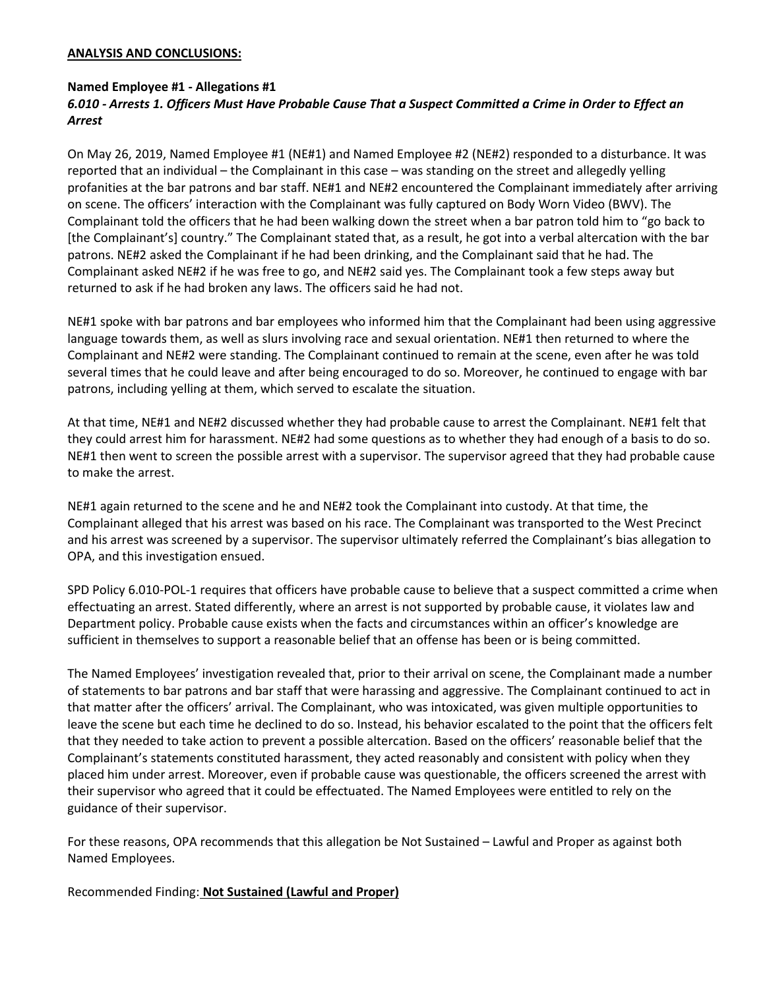### ANALYSIS AND CONCLUSIONS:

### Named Employee #1 - Allegations #1

# 6.010 - Arrests 1. Officers Must Have Probable Cause That a Suspect Committed a Crime in Order to Effect an Arrest

On May 26, 2019, Named Employee #1 (NE#1) and Named Employee #2 (NE#2) responded to a disturbance. It was reported that an individual – the Complainant in this case – was standing on the street and allegedly yelling profanities at the bar patrons and bar staff. NE#1 and NE#2 encountered the Complainant immediately after arriving on scene. The officers' interaction with the Complainant was fully captured on Body Worn Video (BWV). The Complainant told the officers that he had been walking down the street when a bar patron told him to "go back to [the Complainant's] country." The Complainant stated that, as a result, he got into a verbal altercation with the bar patrons. NE#2 asked the Complainant if he had been drinking, and the Complainant said that he had. The Complainant asked NE#2 if he was free to go, and NE#2 said yes. The Complainant took a few steps away but returned to ask if he had broken any laws. The officers said he had not.

NE#1 spoke with bar patrons and bar employees who informed him that the Complainant had been using aggressive language towards them, as well as slurs involving race and sexual orientation. NE#1 then returned to where the Complainant and NE#2 were standing. The Complainant continued to remain at the scene, even after he was told several times that he could leave and after being encouraged to do so. Moreover, he continued to engage with bar patrons, including yelling at them, which served to escalate the situation.

At that time, NE#1 and NE#2 discussed whether they had probable cause to arrest the Complainant. NE#1 felt that they could arrest him for harassment. NE#2 had some questions as to whether they had enough of a basis to do so. NE#1 then went to screen the possible arrest with a supervisor. The supervisor agreed that they had probable cause to make the arrest.

NE#1 again returned to the scene and he and NE#2 took the Complainant into custody. At that time, the Complainant alleged that his arrest was based on his race. The Complainant was transported to the West Precinct and his arrest was screened by a supervisor. The supervisor ultimately referred the Complainant's bias allegation to OPA, and this investigation ensued.

SPD Policy 6.010-POL-1 requires that officers have probable cause to believe that a suspect committed a crime when effectuating an arrest. Stated differently, where an arrest is not supported by probable cause, it violates law and Department policy. Probable cause exists when the facts and circumstances within an officer's knowledge are sufficient in themselves to support a reasonable belief that an offense has been or is being committed.

The Named Employees' investigation revealed that, prior to their arrival on scene, the Complainant made a number of statements to bar patrons and bar staff that were harassing and aggressive. The Complainant continued to act in that matter after the officers' arrival. The Complainant, who was intoxicated, was given multiple opportunities to leave the scene but each time he declined to do so. Instead, his behavior escalated to the point that the officers felt that they needed to take action to prevent a possible altercation. Based on the officers' reasonable belief that the Complainant's statements constituted harassment, they acted reasonably and consistent with policy when they placed him under arrest. Moreover, even if probable cause was questionable, the officers screened the arrest with their supervisor who agreed that it could be effectuated. The Named Employees were entitled to rely on the guidance of their supervisor.

For these reasons, OPA recommends that this allegation be Not Sustained – Lawful and Proper as against both Named Employees.

Recommended Finding: Not Sustained (Lawful and Proper)